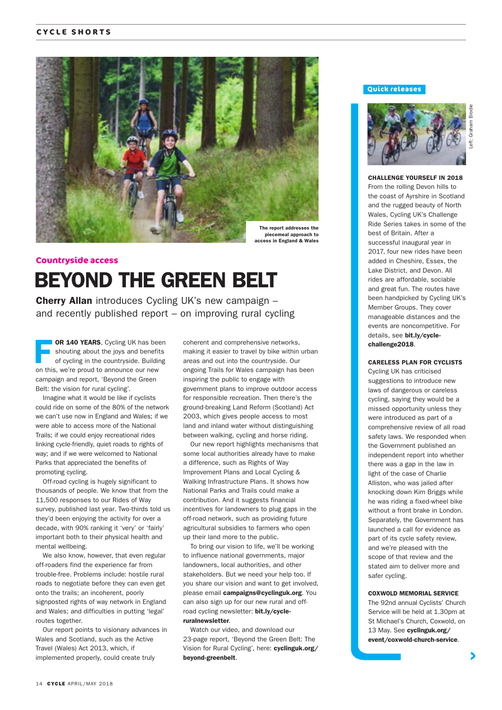

## BEYOND THE GREEN BELT **Countryside access**

Cherry Allan introduces Cycling UK's new campaign – and recently published report – on improving rural cycling

OR 140 YEARS, Cycling UK has been shouting about the joys and benefits of cycling in the countryside. Building on this, we're proud to announce our new campaign and report, 'Beyond the Green Belt: the vision for rural cycling'.

Imagine what it would be like if cyclists could ride on some of the 80% of the network we can't use now in England and Wales; if we were able to access more of the National Trails; if we could enjoy recreational rides linking cycle-friendly, quiet roads to rights of way; and if we were welcomed to National Parks that appreciated the benefits of promoting cycling.

Off-road cycling is hugely significant to thousands of people. We know that from the 11,500 responses to our Rides of Way survey, published last year. Two-thirds told us they'd been enjoying the activity for over a decade, with 90% ranking it 'very' or 'fairly' important both to their physical health and mental wellbeing.

We also know, however, that even regular off-roaders find the experience far from trouble-free. Problems include: hostile rural roads to negotiate before they can even get onto the trails; an incoherent, poorly signposted rights of way network in England and Wales; and difficulties in putting 'legal' routes together.

Our report points to visionary advances in Wales and Scotland, such as the Active Travel (Wales) Act 2013, which, if implemented properly, could create truly

coherent and comprehensive networks, making it easier to travel by bike within urban areas and out into the countryside. Our ongoing Trails for Wales campaign has been inspiring the public to engage with government plans to improve outdoor access for responsible recreation. Then there's the ground-breaking Land Reform (Scotland) Act 2003, which gives people access to most land and inland water without distinguishing between walking, cycling and horse riding.

Our new report highlights mechanisms that some local authorities already have to make a difference, such as Rights of Way Improvement Plans and Local Cycling & Walking Infrastructure Plans. It shows how National Parks and Trails could make a contribution. And it suggests financial incentives for landowners to plug gaps in the off-road network, such as providing future agricultural subsidies to farmers who open up their land more to the public.

To bring our vision to life, we'll be working to influence national governments, major landowners, local authorities, and other stakeholders. But we need your help too. If you share our vision and want to get involved, please email campaigns@cyclinguk.org. You can also sign up for our new rural and offroad cycling newsletter: bit.ly/cycleruralnewsletter.

Watch our video, and download our 23-page report, 'Beyond the Green Belt: The Vision for Rural Cycling', here: cyclinguk.org/ beyond-greenbelt.

#### **Quick releases**



CHALLENGE YOURSELF IN 2018 From the rolling Devon hills to the coast of Ayrshire in Scotland and the rugged beauty of North Wales, Cycling UK's Challenge Ride Series takes in some of the best of Britain. After a successful inaugural year in 2017, four new rides have been added in Cheshire, Essex, the Lake District, and Devon. All rides are affordable, sociable and great fun. The routes have been handpicked by Cycling UK's Member Groups. They cover manageable distances and the events are noncompetitive. For details, see bit.ly/cyclechallenge2018.

#### CARELESS PLAN FOR CYCLISTS

Cycling UK has criticised suggestions to introduce new laws of dangerous or careless cycling, saying they would be a missed opportunity unless they were introduced as part of a comprehensive review of all road safety laws. We responded when the Government published an independent report into whether there was a gap in the law in light of the case of Charlie Alliston, who was jailed after knocking down Kim Briggs while he was riding a fixed-wheel bike without a front brake in London. Separately, the Government has launched a call for evidence as part of its cycle safety review, and we're pleased with the scope of that review and the stated aim to deliver more and safer cycling.

#### COXWOLD MEMORIAL SERVICE

The 92nd annual Cyclists' Church Service will be held at 1.30pm at St Michael's Church, Coxwold, on 13 May. See cyclinguk.org/ event/coxwold-church-service.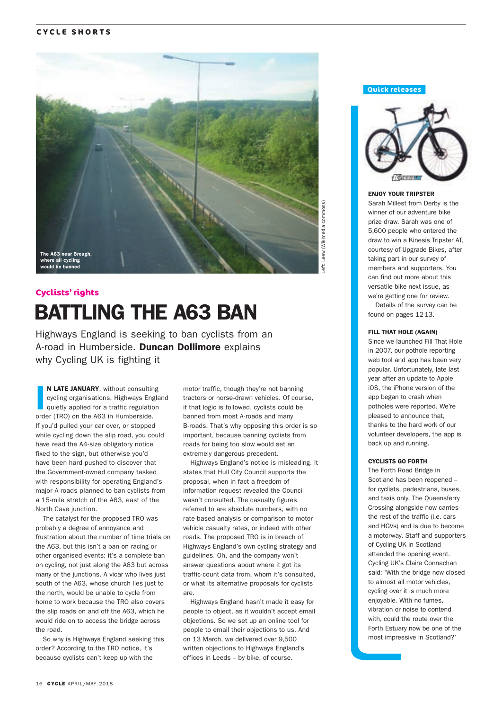## **CYCLE SHORTS**



# BATTLING THE A63 BAN **Cyclists' rights**

Highways England is seeking to ban cyclists from an A-road in Humberside. Duncan Dollimore explains why Cycling UK is fighting it

I N LATE JANUARY, without consulting cycling organisations, Highways England quietly applied for a traffic regulation order (TRO) on the A63 in Humberside. If you'd pulled your car over, or stopped while cycling down the slip road, you could have read the A4-size obligatory notice fixed to the sign, but otherwise you'd have been hard pushed to discover that the Government-owned company tasked with responsibility for operating England's major A-roads planned to ban cyclists from a 15-mile stretch of the A63, east of the North Cave junction.

The catalyst for the proposed TRO was probably a degree of annoyance and frustration about the number of time trials on the A63, but this isn't a ban on racing or other organised events: it's a complete ban on cycling, not just along the A63 but across many of the junctions. A vicar who lives just south of the A63, whose church lies just to the north, would be unable to cycle from home to work because the TRO also covers the slip roads on and off the A63, which he would ride on to access the bridge across the road.

So why is Highways England seeking this order? According to the TRO notice, it's because cyclists can't keep up with the

motor traffic, though they're not banning tractors or horse-drawn vehicles. Of course, if that logic is followed, cyclists could be banned from most A-roads and many B-roads. That's why opposing this order is so important, because banning cyclists from roads for being too slow would set an extremely dangerous precedent.

Highways England's notice is misleading. It states that Hull City Council supports the proposal, when in fact a freedom of information request revealed the Council wasn't consulted. The casualty figures referred to are absolute numbers, with no rate-based analysis or comparison to motor vehicle casualty rates, or indeed with other roads. The proposed TRO is in breach of Highways England's own cycling strategy and guidelines. Oh, and the company won't answer questions about where it got its traffic-count data from, whom it's consulted, or what its alternative proposals for cyclists are.

Highways England hasn't made it easy for people to object, as it wouldn't accept email objections. So we set up an online tool for people to email their objections to us. And on 13 March, we delivered over 9,500 written objections to Highways England's offices in Leeds – by bike, of course.

# Wikimedia commons Left: Leew (Wikimedia commons)

**Quick releases**



#### ENJOY YOUR TRIPSTER

Sarah Millest from Derby is the winner of our adventure bike prize draw. Sarah was one of 5,600 people who entered the draw to win a Kinesis Tripster AT, courtesy of Upgrade Bikes, after taking part in our survey of members and supporters. You can find out more about this versatile bike next issue, as we're getting one for review.

 Details of the survey can be found on pages 12-13.

#### FILL THAT HOLE (AGAIN)

Since we launched Fill That Hole in 2007, our pothole reporting web tool and app has been very popular. Unfortunately, late last year after an update to Apple iOS, the iPhone version of the app began to crash when potholes were reported. We're pleased to announce that, thanks to the hard work of our volunteer developers, the app is back up and running.

#### CYCLISTS GO FORTH

The Forth Road Bridge in Scotland has been reopened – for cyclists, pedestrians, buses, and taxis only. The Queensferry Crossing alongside now carries the rest of the traffic (i.e. cars and HGVs) and is due to become a motorway. Staff and supporters of Cycling UK in Scotland attended the opening event. Cycling UK's Claire Connachan said: 'With the bridge now closed to almost all motor vehicles, cycling over it is much more enjoyable. With no fumes, vibration or noise to contend with, could the route over the Forth Estuary now be one of the most impressive in Scotland?'